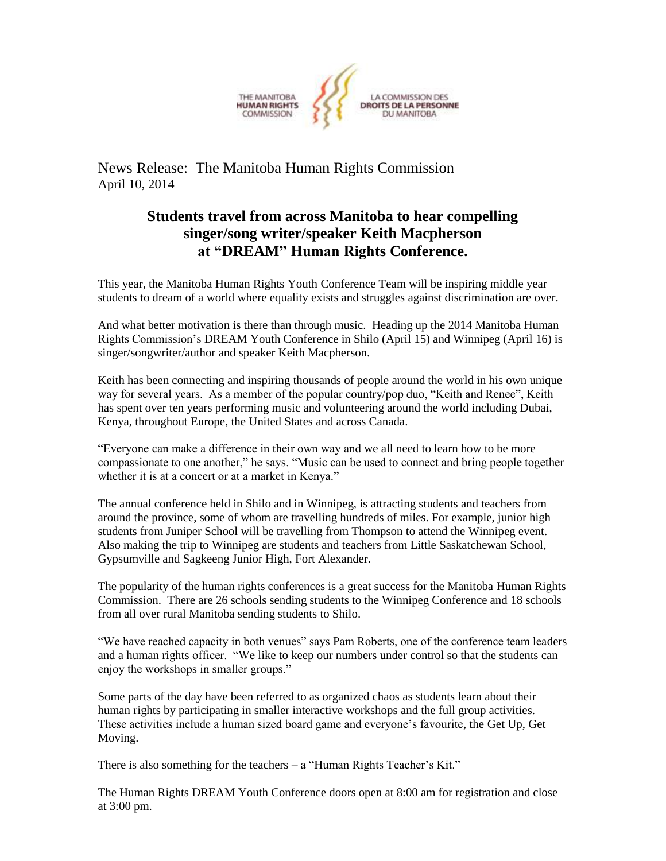

News Release: The Manitoba Human Rights Commission April 10, 2014

## **Students travel from across Manitoba to hear compelling singer/song writer/speaker Keith Macpherson at "DREAM" Human Rights Conference.**

This year, the Manitoba Human Rights Youth Conference Team will be inspiring middle year students to dream of a world where equality exists and struggles against discrimination are over.

And what better motivation is there than through music. Heading up the 2014 Manitoba Human Rights Commission's DREAM Youth Conference in Shilo (April 15) and Winnipeg (April 16) is singer/songwriter/author and speaker Keith Macpherson.

Keith has been connecting and inspiring thousands of people around the world in his own unique way for several years. As a member of the popular country/pop duo, "Keith and Renee", Keith has spent over ten years performing music and volunteering around the world including Dubai, Kenya, throughout Europe, the United States and across Canada.

"Everyone can make a difference in their own way and we all need to learn how to be more compassionate to one another," he says. "Music can be used to connect and bring people together whether it is at a concert or at a market in Kenya."

The annual conference held in Shilo and in Winnipeg, is attracting students and teachers from around the province, some of whom are travelling hundreds of miles. For example, junior high students from Juniper School will be travelling from Thompson to attend the Winnipeg event. Also making the trip to Winnipeg are students and teachers from Little Saskatchewan School, Gypsumville and Sagkeeng Junior High, Fort Alexander.

The popularity of the human rights conferences is a great success for the Manitoba Human Rights Commission. There are 26 schools sending students to the Winnipeg Conference and 18 schools from all over rural Manitoba sending students to Shilo.

"We have reached capacity in both venues" says Pam Roberts, one of the conference team leaders and a human rights officer. "We like to keep our numbers under control so that the students can enjoy the workshops in smaller groups."

Some parts of the day have been referred to as organized chaos as students learn about their human rights by participating in smaller interactive workshops and the full group activities. These activities include a human sized board game and everyone's favourite, the Get Up, Get Moving.

There is also something for the teachers – a "Human Rights Teacher's Kit."

The Human Rights DREAM Youth Conference doors open at 8:00 am for registration and close at 3:00 pm.